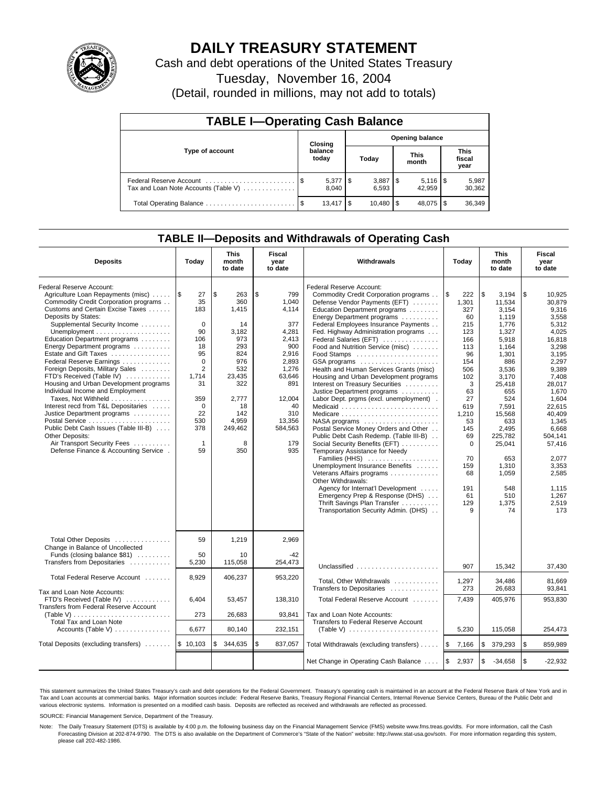

# **DAILY TREASURY STATEMENT**

Cash and debt operations of the United States Treasury

Tuesday, November 16, 2004

(Detail, rounded in millions, may not add to totals)

| <b>TABLE I-Operating Cash Balance</b>                           |                                   |                                    |  |               |  |                      |                               |                 |  |  |
|-----------------------------------------------------------------|-----------------------------------|------------------------------------|--|---------------|--|----------------------|-------------------------------|-----------------|--|--|
|                                                                 | <b>Opening balance</b><br>Closing |                                    |  |               |  |                      |                               |                 |  |  |
| Type of account                                                 |                                   | balance<br>today                   |  | Today         |  | <b>This</b><br>month | <b>This</b><br>fiscal<br>year |                 |  |  |
| Federal Reserve Account<br>Tax and Loan Note Accounts (Table V) |                                   | $5,377$ \\$<br>8.040               |  | 6.593         |  | 42.959               |                               | 5,987<br>30,362 |  |  |
| Total Operating Balance                                         |                                   | $13.417$ $\overline{\phantom{1}5}$ |  | $10.480$ \ \$ |  | 48.075               | 1\$                           | 36,349          |  |  |

### **TABLE II—Deposits and Withdrawals of Operating Cash**

| <b>Deposits</b>                                                                                                                                                                                                                                                                                                                                                                                                                                                                                                                                                                                                                                                                                                                                                   | Today                                                                                                                                                                       | <b>This</b><br>month<br>to date                                                                                                                    | <b>Fiscal</b><br>year<br>to date                                                                                                                                  | Withdrawals                                                                                                                                                                                                                                                                                                                                                                                                                                                                                                                                                                                                                                                                                                                                                                                                                                                                                                                                                                                                                                      | Today                                                                                                                                                                                                | <b>This</b><br>month<br>to date                                                                                                                                                                                                                     | <b>Fiscal</b><br>year<br>to date                                                                                                                                                                                                                                      |
|-------------------------------------------------------------------------------------------------------------------------------------------------------------------------------------------------------------------------------------------------------------------------------------------------------------------------------------------------------------------------------------------------------------------------------------------------------------------------------------------------------------------------------------------------------------------------------------------------------------------------------------------------------------------------------------------------------------------------------------------------------------------|-----------------------------------------------------------------------------------------------------------------------------------------------------------------------------|----------------------------------------------------------------------------------------------------------------------------------------------------|-------------------------------------------------------------------------------------------------------------------------------------------------------------------|--------------------------------------------------------------------------------------------------------------------------------------------------------------------------------------------------------------------------------------------------------------------------------------------------------------------------------------------------------------------------------------------------------------------------------------------------------------------------------------------------------------------------------------------------------------------------------------------------------------------------------------------------------------------------------------------------------------------------------------------------------------------------------------------------------------------------------------------------------------------------------------------------------------------------------------------------------------------------------------------------------------------------------------------------|------------------------------------------------------------------------------------------------------------------------------------------------------------------------------------------------------|-----------------------------------------------------------------------------------------------------------------------------------------------------------------------------------------------------------------------------------------------------|-----------------------------------------------------------------------------------------------------------------------------------------------------------------------------------------------------------------------------------------------------------------------|
| Federal Reserve Account:<br>Agriculture Loan Repayments (misc)<br>Commodity Credit Corporation programs<br>Customs and Certain Excise Taxes<br>Deposits by States:<br>Supplemental Security Income<br>Unemployment $\dots\dots\dots\dots\dots\dots\dots\dots$<br>Education Department programs<br>Energy Department programs<br>Estate and Gift Taxes<br>Federal Reserve Earnings<br>Foreign Deposits, Military Sales<br>FTD's Received (Table IV)<br>Housing and Urban Development programs<br>Individual Income and Employment<br>Taxes. Not Withheld<br>Interest recd from T&L Depositaries<br>Justice Department programs<br>Public Debt Cash Issues (Table III-B)<br>Other Deposits:<br>Air Transport Security Fees<br>Defense Finance & Accounting Service. | 1\$<br>27<br>35<br>183<br>$\Omega$<br>90<br>106<br>18<br>95<br>$\mathbf 0$<br>$\overline{2}$<br>1,714<br>31<br>359<br>$\mathbf 0$<br>22<br>530<br>378<br>$\mathbf{1}$<br>59 | \$<br>263<br>360<br>1,415<br>14<br>3,182<br>973<br>293<br>824<br>976<br>532<br>23,435<br>322<br>2.777<br>18<br>142<br>4,959<br>249,462<br>8<br>350 | \$<br>799<br>1.040<br>4,114<br>377<br>4,281<br>2,413<br>900<br>2,916<br>2,893<br>1,276<br>63,646<br>891<br>12,004<br>40<br>310<br>13,356<br>584,563<br>179<br>935 | Federal Reserve Account:<br>Commodity Credit Corporation programs<br>Defense Vendor Payments (EFT)<br>Education Department programs<br>Energy Department programs<br>Federal Employees Insurance Payments<br>Fed. Highway Administration programs<br>Federal Salaries (EFT)<br>Food and Nutrition Service (misc)<br>Food Stamps<br>GSA programs<br>Health and Human Services Grants (misc)<br>Housing and Urban Development programs<br>Interest on Treasury Securities<br>Justice Department programs<br>Labor Dept. prgms (excl. unemployment).<br>Medicaid<br>Medicare<br>$NASA$ programs $\ldots \ldots \ldots \ldots \ldots$<br>Postal Service Money Orders and Other<br>Public Debt Cash Redemp. (Table III-B)<br>Social Security Benefits (EFT)<br>Temporary Assistance for Needy<br>Families (HHS)<br>Unemployment Insurance Benefits<br>Veterans Affairs programs<br>Other Withdrawals:<br>Agency for Internat'l Development<br>Emergency Prep & Response (DHS)<br>Thrift Savings Plan Transfer<br>Transportation Security Admin. (DHS) | l \$<br>222<br>1.301<br>327<br>60<br>215<br>123<br>166<br>113<br>96<br>154<br>506<br>102<br>3<br>63<br>27<br>619<br>1,210<br>53<br>145<br>69<br>$\Omega$<br>70<br>159<br>68<br>191<br>61<br>129<br>9 | \$<br>3,194<br>11.534<br>3.154<br>1.119<br>1,776<br>1,327<br>5,918<br>1.164<br>1,301<br>886<br>3,536<br>3,170<br>25,418<br>655<br>524<br>7,591<br>15.568<br>633<br>2,495<br>225.782<br>25,041<br>653<br>1,310<br>1,059<br>548<br>510<br>1,375<br>74 | \$<br>10,925<br>30.879<br>9.316<br>3,558<br>5,312<br>4,025<br>16,818<br>3.298<br>3.195<br>2.297<br>9,389<br>7,408<br>28,017<br>1.670<br>1.604<br>22.615<br>40.409<br>1,345<br>6,668<br>504.141<br>57.416<br>2,077<br>3,353<br>2,585<br>1.115<br>1.267<br>2,519<br>173 |
| Total Other Deposits<br>Change in Balance of Uncollected<br>Funds (closing balance \$81)<br>Transfers from Depositaries                                                                                                                                                                                                                                                                                                                                                                                                                                                                                                                                                                                                                                           | 59<br>50<br>5,230                                                                                                                                                           | 1,219<br>10<br>115,058                                                                                                                             | 2,969<br>-42<br>254,473                                                                                                                                           | Unclassified                                                                                                                                                                                                                                                                                                                                                                                                                                                                                                                                                                                                                                                                                                                                                                                                                                                                                                                                                                                                                                     | 907                                                                                                                                                                                                  | 15,342                                                                                                                                                                                                                                              | 37,430                                                                                                                                                                                                                                                                |
| Total Federal Reserve Account                                                                                                                                                                                                                                                                                                                                                                                                                                                                                                                                                                                                                                                                                                                                     | 8.929                                                                                                                                                                       | 406.237                                                                                                                                            | 953,220                                                                                                                                                           | Total, Other Withdrawals                                                                                                                                                                                                                                                                                                                                                                                                                                                                                                                                                                                                                                                                                                                                                                                                                                                                                                                                                                                                                         | 1,297                                                                                                                                                                                                | 34,486                                                                                                                                                                                                                                              | 81.669                                                                                                                                                                                                                                                                |
| Tax and Loan Note Accounts:<br>FTD's Received (Table IV)<br>Transfers from Federal Reserve Account                                                                                                                                                                                                                                                                                                                                                                                                                                                                                                                                                                                                                                                                | 6,404                                                                                                                                                                       | 53,457                                                                                                                                             | 138,310                                                                                                                                                           | Transfers to Depositaries<br>Total Federal Reserve Account                                                                                                                                                                                                                                                                                                                                                                                                                                                                                                                                                                                                                                                                                                                                                                                                                                                                                                                                                                                       | 273<br>7,439                                                                                                                                                                                         | 26,683<br>405,976                                                                                                                                                                                                                                   | 93,841<br>953.830                                                                                                                                                                                                                                                     |
| $(Table V) \ldots \ldots \ldots \ldots \ldots \ldots \ldots \ldots$<br><b>Total Tax and Loan Note</b>                                                                                                                                                                                                                                                                                                                                                                                                                                                                                                                                                                                                                                                             | 273                                                                                                                                                                         | 26,683                                                                                                                                             | 93,841                                                                                                                                                            | Tax and Loan Note Accounts:<br>Transfers to Federal Reserve Account                                                                                                                                                                                                                                                                                                                                                                                                                                                                                                                                                                                                                                                                                                                                                                                                                                                                                                                                                                              |                                                                                                                                                                                                      |                                                                                                                                                                                                                                                     |                                                                                                                                                                                                                                                                       |
| Accounts (Table V) $\dots \dots \dots \dots$                                                                                                                                                                                                                                                                                                                                                                                                                                                                                                                                                                                                                                                                                                                      | 6.677                                                                                                                                                                       | 80,140                                                                                                                                             | 232.151                                                                                                                                                           | (Table V) $\ldots \ldots \ldots \ldots \ldots \ldots \ldots$                                                                                                                                                                                                                                                                                                                                                                                                                                                                                                                                                                                                                                                                                                                                                                                                                                                                                                                                                                                     | 5,230                                                                                                                                                                                                | 115,058                                                                                                                                                                                                                                             | 254,473                                                                                                                                                                                                                                                               |
| Total Deposits (excluding transfers)                                                                                                                                                                                                                                                                                                                                                                                                                                                                                                                                                                                                                                                                                                                              | \$10,103                                                                                                                                                                    | \$<br>344,635                                                                                                                                      | \$<br>837,057                                                                                                                                                     | Total Withdrawals (excluding transfers)                                                                                                                                                                                                                                                                                                                                                                                                                                                                                                                                                                                                                                                                                                                                                                                                                                                                                                                                                                                                          | 1\$<br>7,166                                                                                                                                                                                         | \$<br>379,293                                                                                                                                                                                                                                       | \$<br>859,989                                                                                                                                                                                                                                                         |
|                                                                                                                                                                                                                                                                                                                                                                                                                                                                                                                                                                                                                                                                                                                                                                   |                                                                                                                                                                             |                                                                                                                                                    |                                                                                                                                                                   | Net Change in Operating Cash Balance                                                                                                                                                                                                                                                                                                                                                                                                                                                                                                                                                                                                                                                                                                                                                                                                                                                                                                                                                                                                             | $\sqrt{3}$<br>2,937                                                                                                                                                                                  | \$<br>$-34,658$                                                                                                                                                                                                                                     | \$<br>$-22.932$                                                                                                                                                                                                                                                       |

This statement summarizes the United States Treasury's cash and debt operations for the Federal Government. Treasury's operating cash is maintained in an account at the Federal Reserve Bank of New York and in Tax and Loan accounts at commercial banks. Major information sources include: Federal Reserve Banks, Treasury Regional Financial Centers, Internal Revenue Service Centers, Bureau of the Public Debt and<br>various electronic s

SOURCE: Financial Management Service, Department of the Treasury.

Note: The Daily Treasury Statement (DTS) is available by 4:00 p.m. the following business day on the Financial Management Service (FMS) website www.fms.treas.gov/dts. For more information, call the Cash Forecasting Division at 202-874-9790. The DTS is also available on the Department of Commerce's "State of the Nation" website: http://www.stat-usa.gov/sotn. For more information regarding this system, please call 202-482-1986.